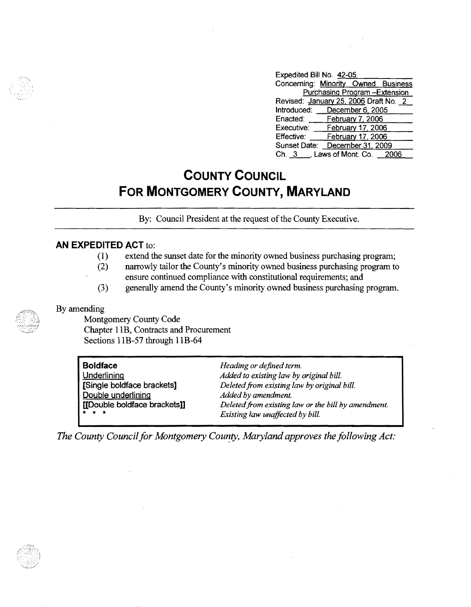| Expedited Bill No. 42-05 |                                       |  |
|--------------------------|---------------------------------------|--|
|                          | Concerning: Minority Owned Business   |  |
|                          | <b>Purchasing Program-Extension</b>   |  |
|                          | Revised: January 25, 2006 Draft No. 2 |  |
|                          | Introduced: December 6, 2005          |  |
|                          | Enacted: February 7, 2006             |  |
|                          | Executive: February 17, 2006          |  |
| Effective:               | February 17, 2006                     |  |
|                          | Sunset Date: December 31, 2009        |  |
|                          | Ch. 3 ___, Laws of Mont. Co. 2006     |  |

## **COUNTY COUNCIL FOR MONTGOMERY COUNTY, MARYLAND**

By: Council President at the request of the County Executive.

## **AN EXPEDITED ACT** to:

- (1) extend the sunset date for the minority owned business purchasing program;
- (2) narrowly tailor the County's minority owned business purchasing program to
- ensure continued compliance with constitutional requirements; and
- (3) generally amend the County's minority owned business purchasing program.

By amending

Montgomery County Code Chapter lIB, Contracts and Procurement Sections lIB-57 through 11B-64

| <b>Boldface</b>              | Heading or defined term.                            |
|------------------------------|-----------------------------------------------------|
| <b>Underlining</b>           | Added to existing law by original bill.             |
| [Single boldface brackets]   | Deleted from existing law by original bill.         |
| Double underlining           | Added by amendment.                                 |
| [[Double boldface brackets]] | Deleted from existing law or the bill by amendment. |
| $\star$ $\star$ $\star$      | Existing law unaffected by bill.                    |

The County Council for Montgomery County, Maryland approves the following Act:

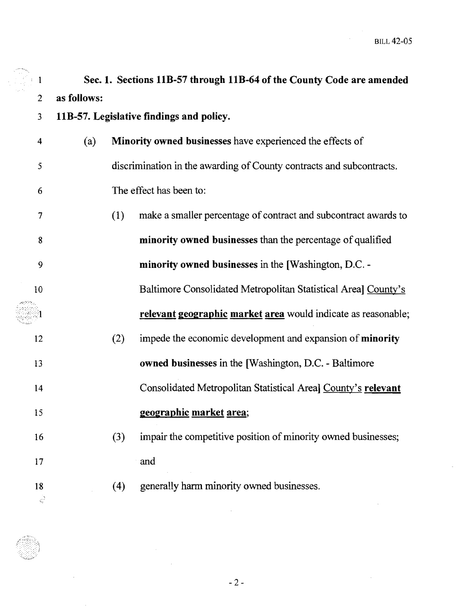$\hat{\mathcal{L}}$ 

 $\sim$ 

| $\mathbf{1}$            |             |     | Sec. 1. Sections 11B-57 through 11B-64 of the County Code are amended |
|-------------------------|-------------|-----|-----------------------------------------------------------------------|
| $\overline{2}$          | as follows: |     |                                                                       |
| $\overline{3}$          |             |     | 11B-57. Legislative findings and policy.                              |
| $\overline{\mathbf{4}}$ | (a)         |     | Minority owned businesses have experienced the effects of             |
| 5                       |             |     | discrimination in the awarding of County contracts and subcontracts.  |
| 6                       |             |     | The effect has been to:                                               |
| 7                       |             | (1) | make a smaller percentage of contract and subcontract awards to       |
| 8                       |             |     | minority owned businesses than the percentage of qualified            |
| 9                       |             |     | minority owned businesses in the [Washington, D.C. -                  |
| 10                      |             |     | Baltimore Consolidated Metropolitan Statistical Area] County's        |
|                         |             |     | relevant geographic market area would indicate as reasonable;         |
| 12                      |             | (2) | impede the economic development and expansion of minority             |
| 13                      |             |     | owned businesses in the [Washington, D.C. - Baltimore                 |
| 14                      |             |     | Consolidated Metropolitan Statistical Area] County's relevant         |
| 15                      |             |     | <u>geographic market area;</u>                                        |
| 16                      |             | (3) | impair the competitive position of minority owned businesses;         |
| 17                      |             |     | and                                                                   |
| 18<br>्रे               |             | (4) | generally harm minority owned businesses.                             |

 $\hat{\mathcal{A}}$ 

 $\bar{z}$ 

 $\bar{\mathcal{L}}$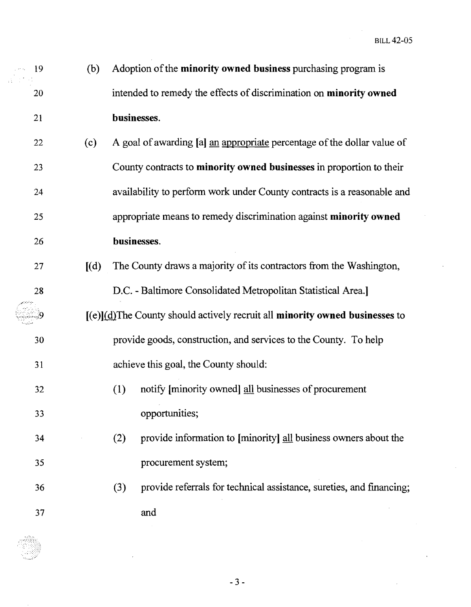19 (b) Adoption of the **minority owned business** purchasing program is 20 intended to remedy the effects of discrimination on **minority owned** 21 businesses.

22 (c) A goal of awarding [a] an appropriate percentage of the dollar value of 23 County contracts to minority owned businesses in proportion to their 24 availability to perform work under County contracts is a reasonable and 25 appropriate means to remedy discrimination against minority owned 26 businesses.

- 27 [(d) The County draws a majority of its contractors from the Washington, 28 D.C. - Baltimore Consolidated Metropolitan Statistical Area.]  $[(e)]$ (d) The County should actively recruit all **minority owned businesses** to 9 30 provide goods, construction, and services to the County. To help 31 achieve this goal, the County should:
- 32 (1) notify [minority owned] all businesses of procurement 33 opportunities;
- 34 (2) provide information to [minority] all business owners about the 35 procurement system;
- 36 (3) provide referrals for technical assistance, sureties, and financing; 37 and



 $-3-$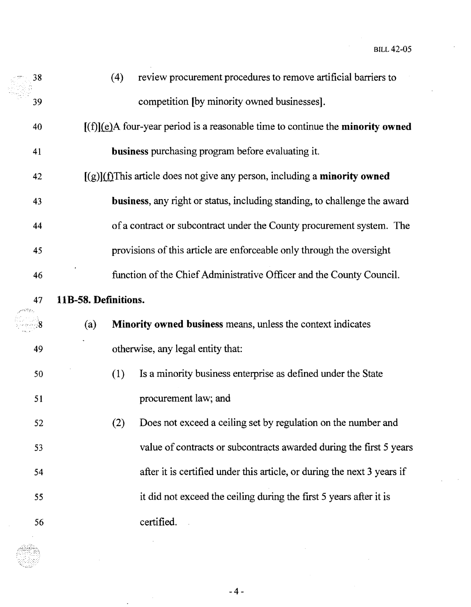| 38 | (4)                                                                                      | review procurement procedures to remove artificial barriers to                      |  |  |  |  |
|----|------------------------------------------------------------------------------------------|-------------------------------------------------------------------------------------|--|--|--|--|
| 39 |                                                                                          | competition [by minority owned businesses].                                         |  |  |  |  |
| 40 | $[(f)](e)$ A four-year period is a reasonable time to continue the <b>minority owned</b> |                                                                                     |  |  |  |  |
| 41 |                                                                                          | business purchasing program before evaluating it.                                   |  |  |  |  |
| 42 |                                                                                          | $[(g)](f]$ This article does not give any person, including a <b>minority owned</b> |  |  |  |  |
| 43 |                                                                                          | business, any right or status, including standing, to challenge the award           |  |  |  |  |
| 44 |                                                                                          | of a contract or subcontract under the County procurement system. The               |  |  |  |  |
| 45 |                                                                                          | provisions of this article are enforceable only through the oversight               |  |  |  |  |
| 46 |                                                                                          | function of the Chief Administrative Officer and the County Council.                |  |  |  |  |
| 47 | 11B-58. Definitions.                                                                     |                                                                                     |  |  |  |  |
|    | (a)                                                                                      | Minority owned business means, unless the context indicates                         |  |  |  |  |
| 49 |                                                                                          | otherwise, any legal entity that:                                                   |  |  |  |  |
| 50 | (1)                                                                                      | Is a minority business enterprise as defined under the State                        |  |  |  |  |
| 51 |                                                                                          | procurement law; and                                                                |  |  |  |  |
| 52 | (2)                                                                                      | Does not exceed a ceiling set by regulation on the number and                       |  |  |  |  |
| 53 |                                                                                          | value of contracts or subcontracts awarded during the first 5 years                 |  |  |  |  |
| 54 |                                                                                          | after it is certified under this article, or during the next 3 years if             |  |  |  |  |
| 55 |                                                                                          | it did not exceed the ceiling during the first 5 years after it is                  |  |  |  |  |
| 56 |                                                                                          | certified.                                                                          |  |  |  |  |

 $\ddot{\phantom{0}}$ 

 $-4-$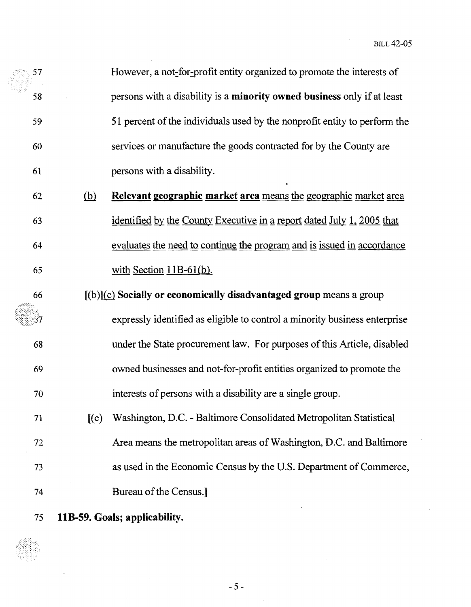BILL 42-05

61 57 However, a not-for-profit entity organized to promote the interests of 58 persons with a disability is a **minority owned business** only if at least 59 51 percent of the individuals used by the nonprofit entity to perform the 60 services or manufacture the goods contracted for by the County are persons with a disability.

62 (hl **Relevant geographic market** means the geographic market area 63 identified by the County Executive in a report dated July 1, 2005 that 64 evaluates the need to continue the program and is issued in accordance  $65$  with Section 11B-61(b).

66 [(b)]{£} **Socially or economically disadvantaged group** means a group expressly identified as eligible to control a minority business enterprise 68 under the State procurement law. For purposes ofthis Article, disabled 69 owned businesses and not-for-profit entities organized to promote the 70 interests of persons with a disability are a single group.

71 [(c) Washington, D.C. - Baltimore Consolidated Metropolitan Statistical 72 Area means the metropolitan areas ofWashington, D.C. and Baltimore 73 as used in the Economic Census by the U.S. Department ofCommerce, 74 Bureau of the Census.]

75 **liB-59. Goals; applicability.** 

 $-5 -$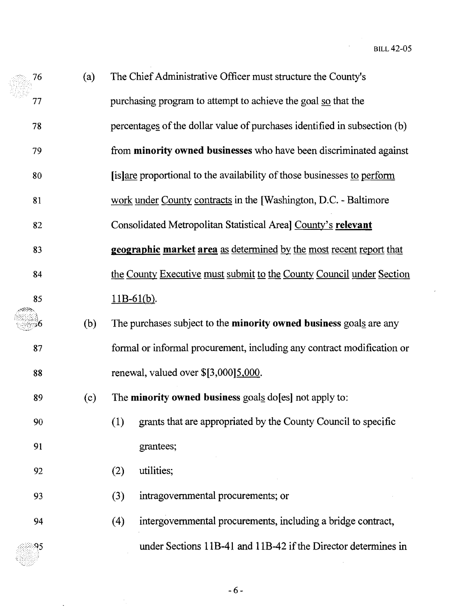| 76 | (a) | The Chief Administrative Officer must structure the County's              |  |  |  |  |
|----|-----|---------------------------------------------------------------------------|--|--|--|--|
| 77 |     | purchasing program to attempt to achieve the goal so that the             |  |  |  |  |
| 78 |     | percentages of the dollar value of purchases identified in subsection (b) |  |  |  |  |
| 79 |     | from minority owned businesses who have been discriminated against        |  |  |  |  |
| 80 |     | [is] are proportional to the availability of those businesses to perform  |  |  |  |  |
| 81 |     | work under County contracts in the [Washington, D.C. - Baltimore          |  |  |  |  |
| 82 |     | Consolidated Metropolitan Statistical Areal County's relevant             |  |  |  |  |
| 83 |     | geographic market area as determined by the most recent report that       |  |  |  |  |
| 84 |     | the County Executive must submit to the County Council under Section      |  |  |  |  |
| 85 |     | $11B-61(b)$ .                                                             |  |  |  |  |
|    | (b) | The purchases subject to the minority owned business goals are any        |  |  |  |  |
| 87 |     | formal or informal procurement, including any contract modification or    |  |  |  |  |
| 88 |     | renewal, valued over \$[3,000]5,000.                                      |  |  |  |  |
| 89 | (c) | The minority owned business goals do [es] not apply to:                   |  |  |  |  |
| 90 |     | grants that are appropriated by the County Council to specific<br>(1)     |  |  |  |  |
| 91 |     | grantees;                                                                 |  |  |  |  |
| 92 |     | utilities;<br>(2)                                                         |  |  |  |  |
| 93 |     | intragovernmental procurements; or<br>(3)                                 |  |  |  |  |
| 94 |     | intergovernmental procurements, including a bridge contract,<br>(4)       |  |  |  |  |
| 95 |     | under Sections 11B-41 and 11B-42 if the Director determines in            |  |  |  |  |

美国

 $-6-$ 

 $\frac{1}{\sqrt{2}}$ 

 $\sim$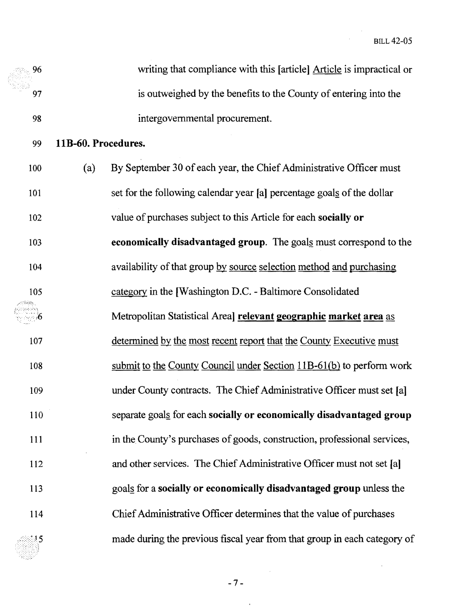**BILL 42-05** 

 $\sim$ 

| 96  |                     | writing that compliance with this [article] Article is impractical or    |
|-----|---------------------|--------------------------------------------------------------------------|
| 97  |                     | is outweighed by the benefits to the County of entering into the         |
| 98  |                     | intergovernmental procurement.                                           |
| 99  | 11B-60. Procedures. |                                                                          |
| 100 | (a)                 | By September 30 of each year, the Chief Administrative Officer must      |
| 101 |                     | set for the following calendar year [a] percentage goals of the dollar   |
| 102 |                     | value of purchases subject to this Article for each socially or          |
| 103 |                     | economically disadvantaged group. The goals must correspond to the       |
| 104 |                     | availability of that group by source selection method and purchasing     |
| 105 |                     | category in the [Washington D.C. - Baltimore Consolidated                |
|     |                     | Metropolitan Statistical Areal relevant geographic market area as        |
| 107 |                     | determined by the most recent report that the County Executive must      |
| 108 |                     | submit to the County Council under Section $11B-61(b)$ to perform work   |
| 109 |                     | under County contracts. The Chief Administrative Officer must set [a]    |
| 110 |                     | separate goals for each socially or economically disadvantaged group     |
| 111 |                     | in the County's purchases of goods, construction, professional services, |
| 112 |                     | and other services. The Chief Administrative Officer must not set [a]    |
| 113 |                     | goals for a socially or economically disadvantaged group unless the      |
| 114 |                     | Chief Administrative Officer determines that the value of purchases      |
|     |                     | made during the previous fiscal year from that group in each category of |

 $\bar{z}$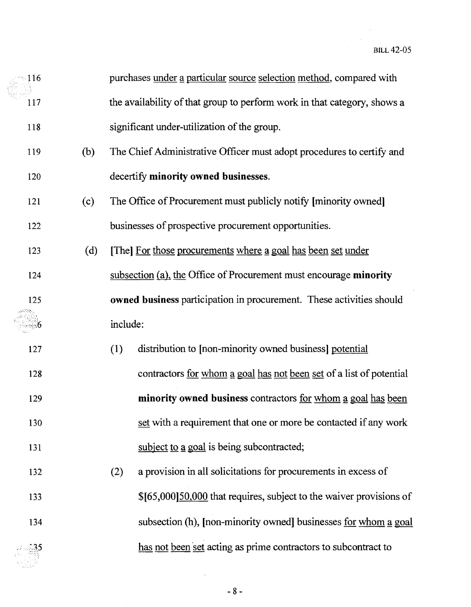$\bar{\bar{z}}$ 

| 116 |     | purchases under a particular source selection method, compared with        |                                                                        |  |  |
|-----|-----|----------------------------------------------------------------------------|------------------------------------------------------------------------|--|--|
| 117 |     | the availability of that group to perform work in that category, shows a   |                                                                        |  |  |
| 118 |     | significant under-utilization of the group.                                |                                                                        |  |  |
| 119 | (b) |                                                                            | The Chief Administrative Officer must adopt procedures to certify and  |  |  |
| 120 |     |                                                                            | decertify minority owned businesses.                                   |  |  |
| 121 | (c) |                                                                            | The Office of Procurement must publicly notify [minority owned]        |  |  |
| 122 |     |                                                                            | businesses of prospective procurement opportunities.                   |  |  |
| 123 | (d) |                                                                            | [The] For those procurements where a goal has been set under           |  |  |
| 124 |     |                                                                            | subsection (a), the Office of Procurement must encourage minority      |  |  |
| 125 |     | owned business participation in procurement. These activities should       |                                                                        |  |  |
|     |     | include:                                                                   |                                                                        |  |  |
| 127 |     | distribution to [non-minority owned business] potential<br>(1)             |                                                                        |  |  |
| 128 |     | contractors <u>for whom a goal has not been set</u> of a list of potential |                                                                        |  |  |
| 129 |     | minority owned business contractors for whom a goal has been               |                                                                        |  |  |
| 130 |     | set with a requirement that one or more be contacted if any work           |                                                                        |  |  |
| 131 |     | subject to a goal is being subcontracted;                                  |                                                                        |  |  |
| 132 |     | a provision in all solicitations for procurements in excess of<br>(2)      |                                                                        |  |  |
| 133 |     | \$[65,000] 50,000 that requires, subject to the waiver provisions of       |                                                                        |  |  |
| 134 |     |                                                                            | subsection (h), [non-minority owned] businesses <u>for whom a goal</u> |  |  |
|     |     |                                                                            | has not been set acting as prime contractors to subcontract to         |  |  |

 $-8-$ 

 $\hat{\mathcal{A}}$  ,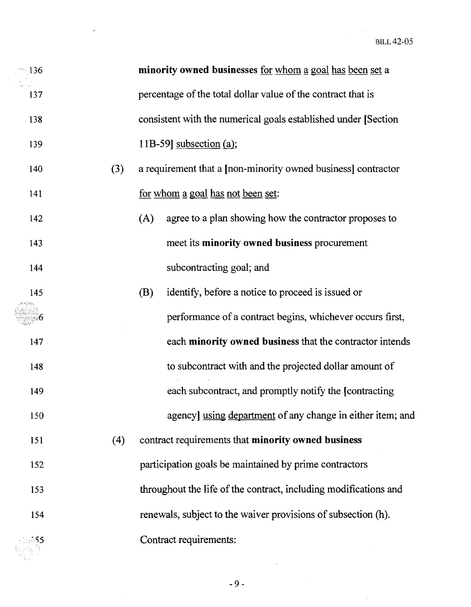| $-136$ |     | minority owned businesses for whom a goal has been set a         |  |  |  |
|--------|-----|------------------------------------------------------------------|--|--|--|
| 137    |     | percentage of the total dollar value of the contract that is     |  |  |  |
| 138    |     | consistent with the numerical goals established under [Section]  |  |  |  |
| 139    |     | 11B-59] subsection $(a)$ ;                                       |  |  |  |
| 140    | (3) | a requirement that a [non-minority owned business] contractor    |  |  |  |
| 141    |     | for whom a goal has not been set:                                |  |  |  |
| 142    |     | agree to a plan showing how the contractor proposes to<br>(A)    |  |  |  |
| 143    |     | meet its minority owned business procurement                     |  |  |  |
| 144    |     | subcontracting goal; and                                         |  |  |  |
| 145    |     | identify, before a notice to proceed is issued or<br>(B)         |  |  |  |
|        |     | performance of a contract begins, whichever occurs first,        |  |  |  |
| 147    |     | each minority owned business that the contractor intends         |  |  |  |
| 148    |     | to subcontract with and the projected dollar amount of           |  |  |  |
| 149    |     | each subcontract, and promptly notify the [contracting]          |  |  |  |
| 150    |     | agency] using department of any change in either item; and       |  |  |  |
| 151    | (4) | contract requirements that minority owned business               |  |  |  |
| 152    |     | participation goals be maintained by prime contractors           |  |  |  |
| 153    |     | throughout the life of the contract, including modifications and |  |  |  |
| 154    |     | renewals, subject to the waiver provisions of subsection (h).    |  |  |  |
| 8355   |     | Contract requirements:                                           |  |  |  |

 $-9-$ 

 $\bar{\mathcal{A}}$ 

 $\bar{\gamma}$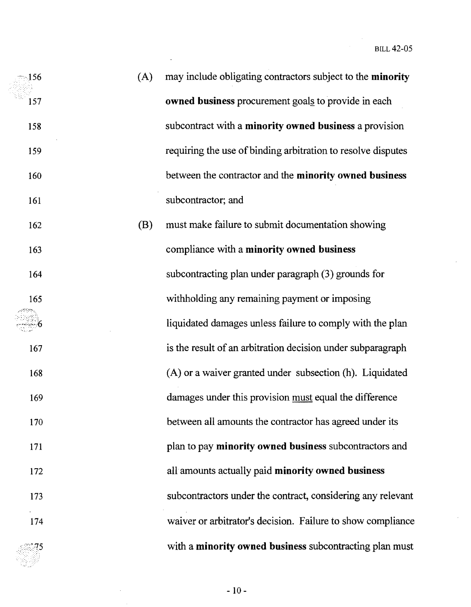$\hat{\boldsymbol{\epsilon}}$ 

 $\frac{1}{2}$ 

| $\sim$ 156 | (A) | may include obligating contractors subject to the <b>minority</b> |
|------------|-----|-------------------------------------------------------------------|
| 157        |     | owned business procurement goals to provide in each               |
| 158        |     | subcontract with a minority owned business a provision            |
| 159        |     | requiring the use of binding arbitration to resolve disputes      |
| 160        |     | between the contractor and the minority owned business            |
| 161        |     | subcontractor; and                                                |
| 162        | (B) | must make failure to submit documentation showing                 |
| 163        |     | compliance with a minority owned business                         |
| 164        |     | subcontracting plan under paragraph (3) grounds for               |
| 165        |     | withholding any remaining payment or imposing                     |
|            |     | liquidated damages unless failure to comply with the plan         |
| 167        |     | is the result of an arbitration decision under subparagraph       |
| 168        |     | (A) or a waiver granted under subsection (h). Liquidated          |
| 169        |     | damages under this provision must equal the difference            |
| 170        |     | between all amounts the contractor has agreed under its           |
| 171        |     | plan to pay minority owned business subcontractors and            |
| 172        |     | all amounts actually paid minority owned business                 |
| 173        |     | subcontractors under the contract, considering any relevant       |
| 174        |     | waiver or arbitrator's decision. Failure to show compliance       |
| AM 75      |     | with a minority owned business subcontracting plan must           |

 $\ddot{\phantom{a}}$ 

 $-10-$ 

e. 참

 $\sim$   $\sim$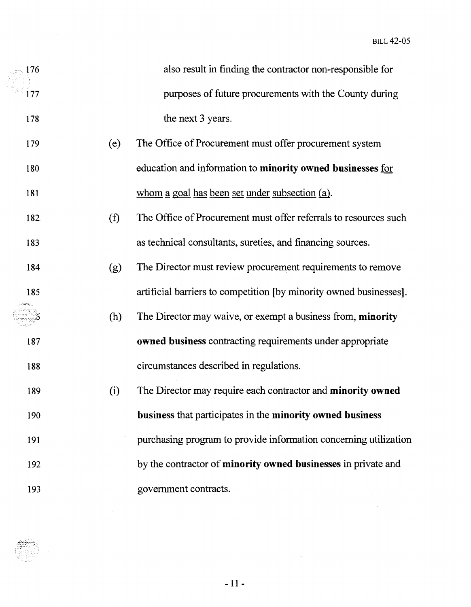$\sim$ 

| .176 |     | also result in finding the contractor non-responsible for          |
|------|-----|--------------------------------------------------------------------|
| 177  |     | purposes of future procurements with the County during             |
| 178  |     | the next 3 years.                                                  |
| 179  | (e) | The Office of Procurement must offer procurement system            |
| 180  |     | education and information to minority owned businesses for         |
| 181  |     | whom a goal has been set under subsection (a).                     |
| 182. | (f) | The Office of Procurement must offer referrals to resources such   |
| 183  |     | as technical consultants, sureties, and financing sources.         |
| 184  | (g) | The Director must review procurement requirements to remove        |
| 185  |     | artificial barriers to competition [by minority owned businesses]. |
|      | (h) | The Director may waive, or exempt a business from, minority        |
| 187  |     | owned business contracting requirements under appropriate          |
| 188  |     | circumstances described in regulations.                            |
| 189  | (i) | The Director may require each contractor and minority owned        |
| 190  |     | business that participates in the minority owned business          |
| 191  |     | purchasing program to provide information concerning utilization   |
| 192  |     | by the contractor of minority owned businesses in private and      |
| 193  |     | government contracts.                                              |

 $-11-$ 

 $\mathcal{L}^{\text{max}}_{\text{max}}$  ,  $\mathcal{L}^{\text{max}}_{\text{max}}$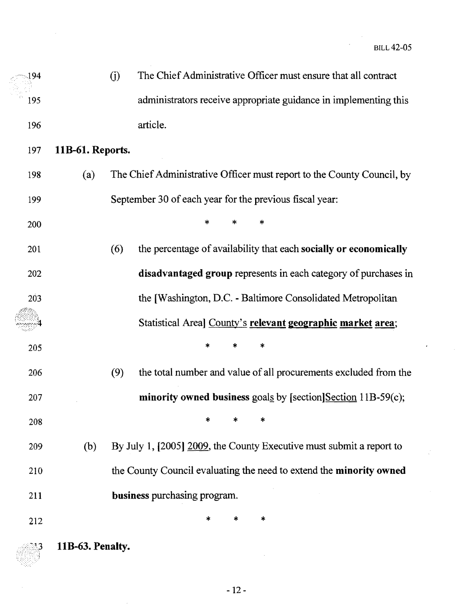$\epsilon$ 

| 194        |                  | (i) | The Chief Administrative Officer must ensure that all contract         |
|------------|------------------|-----|------------------------------------------------------------------------|
| 195        |                  |     | administrators receive appropriate guidance in implementing this       |
| 196        |                  |     | article.                                                               |
| 197        | 11B-61. Reports. |     |                                                                        |
| 198        | (a)              |     | The Chief Administrative Officer must report to the County Council, by |
| 199        |                  |     | September 30 of each year for the previous fiscal year:                |
| 200        |                  |     | ∗<br>$\ast$                                                            |
| 201        |                  | (6) | the percentage of availability that each socially or economically      |
| 202        |                  |     | disadvantaged group represents in each category of purchases in        |
| 203        |                  |     | the [Washington, D.C. - Baltimore Consolidated Metropolitan            |
|            |                  |     | Statistical Areal County's relevant geographic market area;            |
| 205        |                  |     | *<br>*<br>*                                                            |
| 206        |                  | (9) | the total number and value of all procurements excluded from the       |
| 207        |                  |     | minority owned business goals by [section] $Section 11B-59(c)$ ;       |
| 208        |                  |     | *<br>*<br>*                                                            |
| 209        | (b)              |     | By July 1, [2005] 2009, the County Executive must submit a report to   |
| 210        |                  |     | the County Council evaluating the need to extend the minority owned    |
| 211        |                  |     | business purchasing program.                                           |
| 212        |                  |     | *<br>$\ast$<br>$\ast$                                                  |
| <b>∆</b> 3 | 11B-63. Penalty. |     |                                                                        |